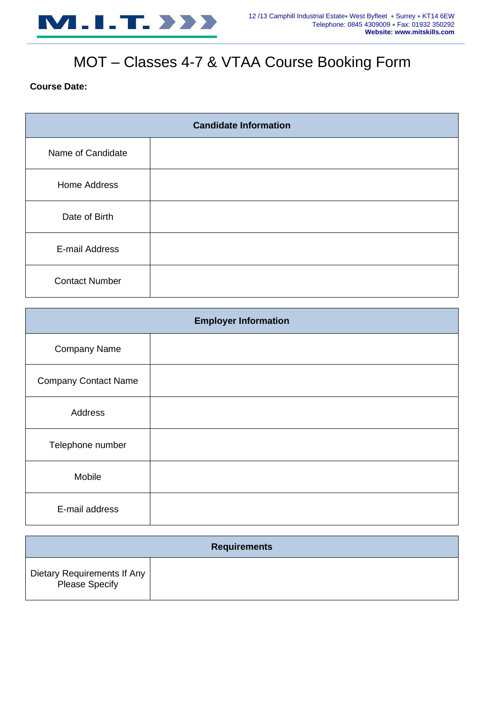

# MOT – Classes 4-7 & VTAA Course Booking Form

## **Course Date:**

| <b>Candidate Information</b> |  |  |
|------------------------------|--|--|
| Name of Candidate            |  |  |
| <b>Home Address</b>          |  |  |
| Date of Birth                |  |  |
| E-mail Address               |  |  |
| <b>Contact Number</b>        |  |  |

| <b>Employer Information</b> |  |  |  |
|-----------------------------|--|--|--|
| <b>Company Name</b>         |  |  |  |
| <b>Company Contact Name</b> |  |  |  |
| Address                     |  |  |  |
| Telephone number            |  |  |  |
| Mobile                      |  |  |  |
| E-mail address              |  |  |  |

| <b>Requirements</b>                                  |  |  |  |  |
|------------------------------------------------------|--|--|--|--|
| Dietary Requirements If Any<br><b>Please Specify</b> |  |  |  |  |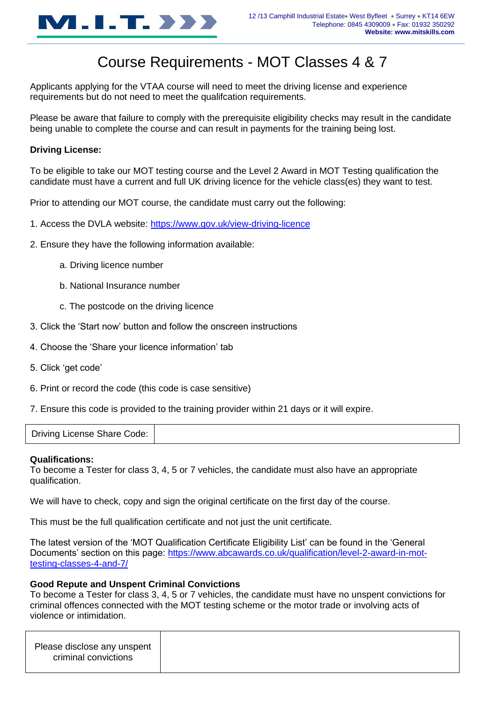

## Course Requirements - MOT Classes 4 & 7

Applicants applying for the VTAA course will need to meet the driving license and experience requirements but do not need to meet the qualifcation requirements.

Please be aware that failure to comply with the prerequisite eligibility checks may result in the candidate being unable to complete the course and can result in payments for the training being lost.

## **Driving License:**

To be eligible to take our MOT testing course and the Level 2 Award in MOT Testing qualification the candidate must have a current and full UK driving licence for the vehicle class(es) they want to test.

Prior to attending our MOT course, the candidate must carry out the following:

- 1. Access the DVLA website:<https://www.gov.uk/view-driving-licence>
- 2. Ensure they have the following information available:
	- a. Driving licence number
	- b. National Insurance number
	- c. The postcode on the driving licence
- 3. Click the 'Start now' button and follow the onscreen instructions
- 4. Choose the 'Share your licence information' tab
- 5. Click 'get code'
- 6. Print or record the code (this code is case sensitive)
- 7. Ensure this code is provided to the training provider within 21 days or it will expire.

Driving License Share Code:

#### **Qualifications:**

To become a Tester for class 3, 4, 5 or 7 vehicles, the candidate must also have an appropriate qualification.

We will have to check, copy and sign the original certificate on the first day of the course.

This must be the full qualification certificate and not just the unit certificate.

The latest version of the 'MOT Qualification Certificate Eligibility List' can be found in the 'General Documents' section on this page: [https://www.abcawards.co.uk/qualification/level-2-award-in-mot](https://www.abcawards.co.uk/qualification/level-2-award-in-mot-testing-classes-4-and-7/)[testing-classes-4-and-7/](https://www.abcawards.co.uk/qualification/level-2-award-in-mot-testing-classes-4-and-7/)

### **Good Repute and Unspent Criminal Convictions**

To become a Tester for class 3, 4, 5 or 7 vehicles, the candidate must have no unspent convictions for criminal offences connected with the MOT testing scheme or the motor trade or involving acts of violence or intimidation.